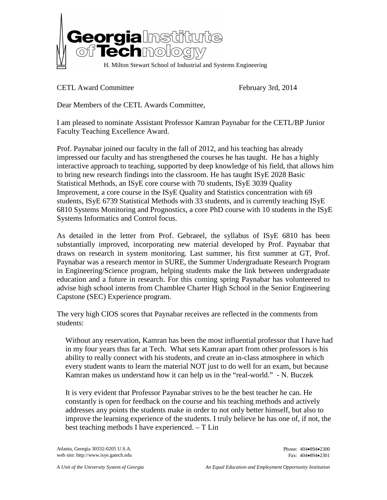

CETL Award Committee February 3rd, 2014

Dear Members of the CETL Awards Committee,

I am pleased to nominate Assistant Professor Kamran Paynabar for the CETL/BP Junior Faculty Teaching Excellence Award.

Prof. Paynabar joined our faculty in the fall of 2012, and his teaching has already impressed our faculty and has strengthened the courses he has taught. He has a highly interactive approach to teaching, supported by deep knowledge of his field, that allows him to bring new research findings into the classroom. He has taught ISyE 2028 Basic Statistical Methods, an ISyE core course with 70 students, ISyE 3039 Quality Improvement, a core course in the ISyE Quality and Statistics concentration with 69 students, ISyE 6739 Statistical Methods with 33 students, and is currently teaching ISyE 6810 Systems Monitoring and Prognostics, a core PhD course with 10 students in the ISyE Systems Informatics and Control focus.

As detailed in the letter from Prof. Gebraeel, the syllabus of ISyE 6810 has been substantially improved, incorporating new material developed by Prof. Paynabar that draws on research in system monitoring. Last summer, his first summer at GT, Prof. Paynabar was a research mentor in SURE, the Summer Undergraduate Research Program in Engineering/Science program, helping students make the link between undergraduate education and a future in research. For this coming spring Paynabar has volunteered to advise high school interns from Chamblee Charter High School in the Senior Engineering Capstone (SEC) Experience program.

The very high CIOS scores that Paynabar receives are reflected in the comments from students:

Without any reservation, Kamran has been the most influential professor that I have had in my four years thus far at Tech. What sets Kamran apart from other professors is his ability to really connect with his students, and create an in-class atmosphere in which every student wants to learn the material NOT just to do well for an exam, but because Kamran makes us understand how it can help us in the "real-world." - N. Buczek

It is very evident that Professor Paynabar strives to be the best teacher he can. He constantly is open for feedback on the course and his teaching methods and actively addresses any points the students make in order to not only better himself, but also to improve the learning experience of the students. I truly believe he has one of, if not, the best teaching methods I have experienced. – T Lin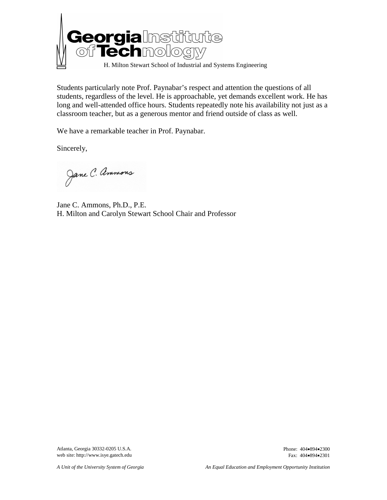

Students particularly note Prof. Paynabar's respect and attention the questions of all students, regardless of the level. He is approachable, yet demands excellent work. He has long and well-attended office hours. Students repeatedly note his availability not just as a classroom teacher, but as a generous mentor and friend outside of class as well.

We have a remarkable teacher in Prof. Paynabar.

Sincerely,

Jane C. Ammons

Jane C. Ammons, Ph.D., P.E. H. Milton and Carolyn Stewart School Chair and Professor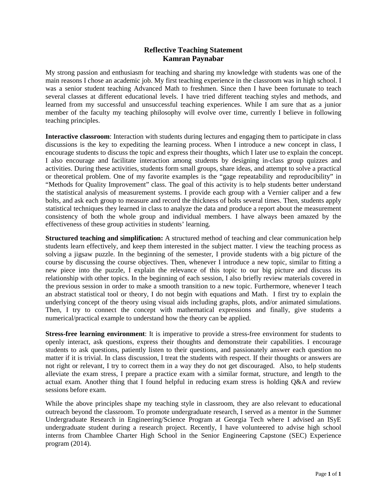### **Reflective Teaching Statement Kamran Paynabar**

My strong passion and enthusiasm for teaching and sharing my knowledge with students was one of the main reasons I chose an academic job. My first teaching experience in the classroom was in high school. I was a senior student teaching Advanced Math to freshmen. Since then I have been fortunate to teach several classes at different educational levels. I have tried different teaching styles and methods, and learned from my successful and unsuccessful teaching experiences. While I am sure that as a junior member of the faculty my teaching philosophy will evolve over time, currently I believe in following teaching principles.

**Interactive classroom**: Interaction with students during lectures and engaging them to participate in class discussions is the key to expediting the learning process. When I introduce a new concept in class, I encourage students to discuss the topic and express their thoughts, which I later use to explain the concept. I also encourage and facilitate interaction among students by designing in-class group quizzes and activities. During these activities, students form small groups, share ideas, and attempt to solve a practical or theoretical problem. One of my favorite examples is the "gage repeatability and reproducibility" in "Methods for Quality Improvement" class. The goal of this activity is to help students better understand the statistical analysis of measurement systems. I provide each group with a Vernier caliper and a few bolts, and ask each group to measure and record the thickness of bolts several times. Then, students apply statistical techniques they learned in class to analyze the data and produce a report about the measurement consistency of both the whole group and individual members. I have always been amazed by the effectiveness of these group activities in students' learning.

**Structured teaching and simplification:** A structured method of teaching and clear communication help students learn effectively, and keep them interested in the subject matter. I view the teaching process as solving a jigsaw puzzle. In the beginning of the semester, I provide students with a big picture of the course by discussing the course objectives. Then, whenever I introduce a new topic, similar to fitting a new piece into the puzzle, I explain the relevance of this topic to our big picture and discuss its relationship with other topics. In the beginning of each session, I also briefly review materials covered in the previous session in order to make a smooth transition to a new topic. Furthermore, whenever I teach an abstract statistical tool or theory, I do not begin with equations and Math. I first try to explain the underlying concept of the theory using visual aids including graphs, plots, and/or animated simulations. Then, I try to connect the concept with mathematical expressions and finally, give students a numerical/practical example to understand how the theory can be applied.

**Stress-free learning environment**: It is imperative to provide a stress-free environment for students to openly interact, ask questions, express their thoughts and demonstrate their capabilities. I encourage students to ask questions, patiently listen to their questions, and passionately answer each question no matter if it is trivial. In class discussion, I treat the students with respect. If their thoughts or answers are not right or relevant, I try to correct them in a way they do not get discouraged. Also, to help students alleviate the exam stress, I prepare a practice exam with a similar format, structure, and length to the actual exam. Another thing that I found helpful in reducing exam stress is holding Q&A and review sessions before exam.

While the above principles shape my teaching style in classroom, they are also relevant to educational outreach beyond the classroom. To promote undergraduate research, I served as a mentor in the Summer Undergraduate Research in Engineering/Science Program at Georgia Tech where I advised an ISyE undergraduate student during a research project. Recently, I have volunteered to advise high school interns from Chamblee Charter High School in the Senior Engineering Capstone (SEC) Experience program (2014).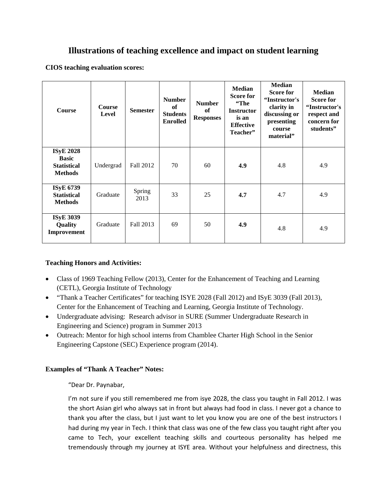# **Illustrations of teaching excellence and impact on student learning**

**CIOS teaching evaluation scores:**

| <b>Course</b>                                                            | <b>Course</b><br>Level | <b>Semester</b> | <b>Number</b><br>of<br><b>Students</b><br><b>Enrolled</b> | <b>Number</b><br><b>of</b><br><b>Responses</b> | <b>Median</b><br><b>Score for</b><br>"The<br><b>Instructor</b><br>is an<br><b>Effective</b><br>Teacher" | <b>Median</b><br><b>Score for</b><br>"Instructor's<br>clarity in<br>discussing or<br>presenting<br>course<br>material" | <b>Median</b><br><b>Score for</b><br>"Instructor's<br>respect and<br>concern for<br>students" |
|--------------------------------------------------------------------------|------------------------|-----------------|-----------------------------------------------------------|------------------------------------------------|---------------------------------------------------------------------------------------------------------|------------------------------------------------------------------------------------------------------------------------|-----------------------------------------------------------------------------------------------|
| <b>ISyE 2028</b><br><b>Basic</b><br><b>Statistical</b><br><b>Methods</b> | Undergrad              | Fall 2012       | 70                                                        | 60                                             | 4.9                                                                                                     | 4.8                                                                                                                    | 4.9                                                                                           |
| <b>ISyE 6739</b><br><b>Statistical</b><br><b>Methods</b>                 | Graduate               | Spring<br>2013  | 33                                                        | 25                                             | 4.7                                                                                                     | 4.7                                                                                                                    | 4.9                                                                                           |
| <b>ISyE 3039</b><br>Quality<br>Improvement                               | Graduate               | Fall 2013       | 69                                                        | 50                                             | 4.9                                                                                                     | 4.8                                                                                                                    | 4.9                                                                                           |

### **Teaching Honors and Activities:**

- Class of 1969 Teaching Fellow (2013), Center for the Enhancement of Teaching and Learning (CETL), Georgia Institute of Technology
- "Thank a Teacher Certificates" for teaching ISYE 2028 (Fall 2012) and ISyE 3039 (Fall 2013), Center for the Enhancement of Teaching and Learning, Georgia Institute of Technology.
- Undergraduate advising: Research advisor in SURE (Summer Undergraduate Research in Engineering and Science) program in Summer 2013
- Outreach: Mentor for high school interns from Chamblee Charter High School in the Senior Engineering Capstone (SEC) Experience program (2014).

### **Examples of "Thank A Teacher" Notes:**

"Dear Dr. Paynabar,

I'm not sure if you still remembered me from isye 2028, the class you taught in Fall 2012. I was the short Asian girl who always sat in front but always had food in class. I never got a chance to thank you after the class, but I just want to let you know you are one of the best instructors I had during my year in Tech. I think that class was one of the few class you taught right after you came to Tech, your excellent teaching skills and courteous personality has helped me tremendously through my journey at ISYE area. Without your helpfulness and directness, this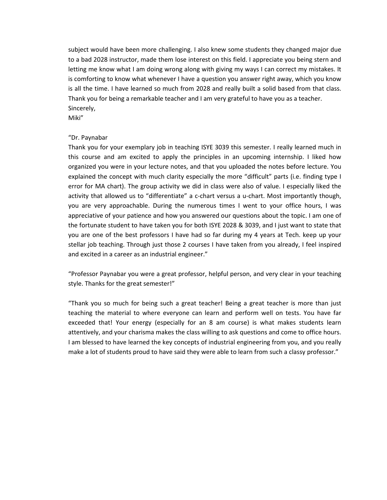subject would have been more challenging. I also knew some students they changed major due to a bad 2028 instructor, made them lose interest on this field. I appreciate you being stern and letting me know what I am doing wrong along with giving my ways I can correct my mistakes. It is comforting to know what whenever I have a question you answer right away, which you know is all the time. I have learned so much from 2028 and really built a solid based from that class. Thank you for being a remarkable teacher and I am very grateful to have you as a teacher. Sincerely,

Miki"

#### "Dr. Paynabar

Thank you for your exemplary job in teaching ISYE 3039 this semester. I really learned much in this course and am excited to apply the principles in an upcoming internship. I liked how organized you were in your lecture notes, and that you uploaded the notes before lecture. You explained the concept with much clarity especially the more "difficult" parts (i.e. finding type I error for MA chart). The group activity we did in class were also of value. I especially liked the activity that allowed us to "differentiate" a c-chart versus a u-chart. Most importantly though, you are very approachable. During the numerous times I went to your office hours, I was appreciative of your patience and how you answered our questions about the topic. I am one of the fortunate student to have taken you for both ISYE 2028 & 3039, and I just want to state that you are one of the best professors I have had so far during my 4 years at Tech. keep up your stellar job teaching. Through just those 2 courses I have taken from you already, I feel inspired and excited in a career as an industrial engineer."

"Professor Paynabar you were a great professor, helpful person, and very clear in your teaching style. Thanks for the great semester!"

"Thank you so much for being such a great teacher! Being a great teacher is more than just teaching the material to where everyone can learn and perform well on tests. You have far exceeded that! Your energy (especially for an 8 am course) is what makes students learn attentively, and your charisma makes the class willing to ask questions and come to office hours. I am blessed to have learned the key concepts of industrial engineering from you, and you really make a lot of students proud to have said they were able to learn from such a classy professor."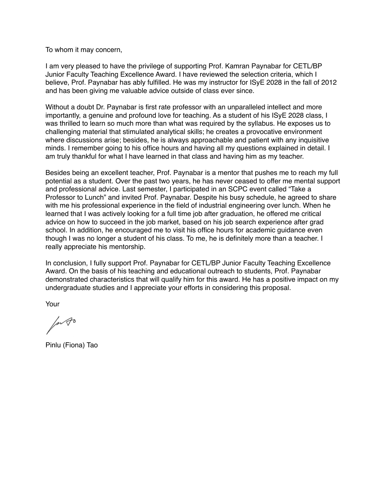To whom it may concern,

I am very pleased to have the privilege of supporting Prof. Kamran Paynabar for CETL/BP Junior Faculty Teaching Excellence Award. I have reviewed the selection criteria, which I believe, Prof. Paynabar has ably fulfilled. He was my instructor for ISyE 2028 in the fall of 2012 and has been giving me valuable advice outside of class ever since.

Without a doubt Dr. Paynabar is first rate professor with an unparalleled intellect and more importantly, a genuine and profound love for teaching. As a student of his ISyE 2028 class, I was thrilled to learn so much more than what was required by the syllabus. He exposes us to challenging material that stimulated analytical skills; he creates a provocative environment where discussions arise; besides, he is always approachable and patient with any inquisitive minds. I remember going to his office hours and having all my questions explained in detail. I am truly thankful for what I have learned in that class and having him as my teacher.

Besides being an excellent teacher, Prof. Paynabar is a mentor that pushes me to reach my full potential as a student. Over the past two years, he has never ceased to offer me mental support and professional advice. Last semester, I participated in an SCPC event called "Take a Professor to Lunch" and invited Prof. Paynabar. Despite his busy schedule, he agreed to share with me his professional experience in the field of industrial engineering over lunch. When he learned that I was actively looking for a full time job after graduation, he offered me critical advice on how to succeed in the job market, based on his job search experience after grad school. In addition, he encouraged me to visit his office hours for academic guidance even though I was no longer a student of his class. To me, he is definitely more than a teacher. I really appreciate his mentorship.

In conclusion, I fully support Prof. Paynabar for CETL/BP Junior Faculty Teaching Excellence Award. On the basis of his teaching and educational outreach to students, Prof. Paynabar demonstrated characteristics that will qualify him for this award. He has a positive impact on my undergraduate studies and I appreciate your efforts in considering this proposal.

Your

In to

Pinlu (Fiona) Tao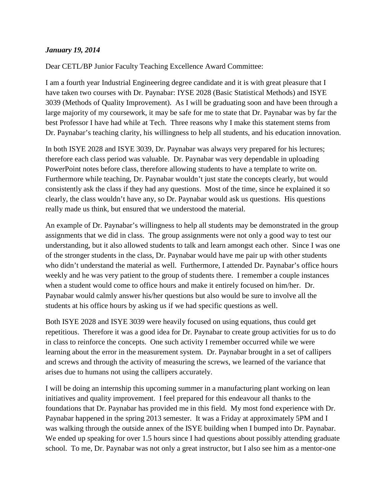## *January 19, 2014*

Dear CETL/BP Junior Faculty Teaching Excellence Award Committee:

I am a fourth year Industrial Engineering degree candidate and it is with great pleasure that I have taken two courses with Dr. Paynabar: IYSE 2028 (Basic Statistical Methods) and ISYE 3039 (Methods of Quality Improvement). As I will be graduating soon and have been through a large majority of my coursework, it may be safe for me to state that Dr. Paynabar was by far the best Professor I have had while at Tech. Three reasons why I make this statement stems from Dr. Paynabar's teaching clarity, his willingness to help all students, and his education innovation.

In both ISYE 2028 and ISYE 3039, Dr. Paynabar was always very prepared for his lectures; therefore each class period was valuable. Dr. Paynabar was very dependable in uploading PowerPoint notes before class, therefore allowing students to have a template to write on. Furthermore while teaching, Dr. Paynabar wouldn't just state the concepts clearly, but would consistently ask the class if they had any questions. Most of the time, since he explained it so clearly, the class wouldn't have any, so Dr. Paynabar would ask us questions. His questions really made us think, but ensured that we understood the material.

An example of Dr. Paynabar's willingness to help all students may be demonstrated in the group assignments that we did in class. The group assignments were not only a good way to test our understanding, but it also allowed students to talk and learn amongst each other. Since I was one of the stronger students in the class, Dr. Paynabar would have me pair up with other students who didn't understand the material as well. Furthermore, I attended Dr. Paynabar's office hours weekly and he was very patient to the group of students there. I remember a couple instances when a student would come to office hours and make it entirely focused on him/her. Dr. Paynabar would calmly answer his/her questions but also would be sure to involve all the students at his office hours by asking us if we had specific questions as well.

Both ISYE 2028 and ISYE 3039 were heavily focused on using equations, thus could get repetitious. Therefore it was a good idea for Dr. Paynabar to create group activities for us to do in class to reinforce the concepts. One such activity I remember occurred while we were learning about the error in the measurement system. Dr. Paynabar brought in a set of callipers and screws and through the activity of measuring the screws, we learned of the variance that arises due to humans not using the callipers accurately.

I will be doing an internship this upcoming summer in a manufacturing plant working on lean initiatives and quality improvement. I feel prepared for this endeavour all thanks to the foundations that Dr. Paynabar has provided me in this field. My most fond experience with Dr. Paynabar happened in the spring 2013 semester. It was a Friday at approximately 5PM and I was walking through the outside annex of the ISYE building when I bumped into Dr. Paynabar. We ended up speaking for over 1.5 hours since I had questions about possibly attending graduate school. To me, Dr. Paynabar was not only a great instructor, but I also see him as a mentor-one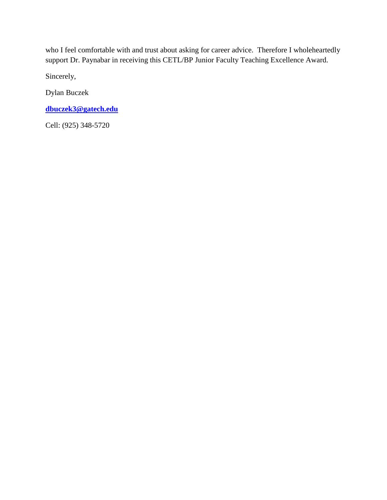who I feel comfortable with and trust about asking for career advice. Therefore I wholeheartedly support Dr. Paynabar in receiving this CETL/BP Junior Faculty Teaching Excellence Award.

Sincerely,

Dylan Buczek

**[dbuczek3@gatech.edu](mailto:dbuczek3@gatech.edu)**

Cell: (925) 348-5720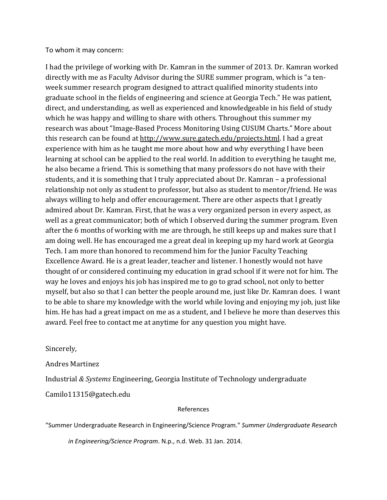To whom it may concern:

I had the privilege of working with Dr. Kamran in the summer of 2013. Dr. Kamran worked directly with me as Faculty Advisor during the SURE summer program, which is "a tenweek summer research program designed to attract qualified minority students into graduate school in the fields of engineering and science at Georgia Tech." He was patient, direct, and understanding, as well as experienced and knowledgeable in his field of study which he was happy and willing to share with others. Throughout this summer my research was about "Image-Based Process Monitoring Using CUSUM Charts." More about this research can be found at [http://www.sure.gatech.edu/projects.html.](http://www.sure.gatech.edu/projects.html) I had a great experience with him as he taught me more about how and why everything I have been learning at school can be applied to the real world. In addition to everything he taught me, he also became a friend. This is something that many professors do not have with their students, and it is something that I truly appreciated about Dr. Kamran – a professional relationship not only as student to professor, but also as student to mentor/friend. He was always willing to help and offer encouragement. There are other aspects that I greatly admired about Dr. Kamran. First, that he was a very organized person in every aspect, as well as a great communicator; both of which I observed during the summer program. Even after the 6 months of working with me are through, he still keeps up and makes sure that I am doing well. He has encouraged me a great deal in keeping up my hard work at Georgia Tech. I am more than honored to recommend him for the Junior Faculty Teaching Excellence Award. He is a great leader, teacher and listener. I honestly would not have thought of or considered continuing my education in grad school if it were not for him. The way he loves and enjoys his job has inspired me to go to grad school, not only to better myself, but also so that I can better the people around me, just like Dr. Kamran does. I want to be able to share my knowledge with the world while loving and enjoying my job, just like him. He has had a great impact on me as a student, and I believe he more than deserves this award. Feel free to contact me at anytime for any question you might have.

Sincerely,

Andres Martinez

Industrial *& Systems* Engineering, Georgia Institute of Technology undergraduate

Camilo11315@gatech.edu

### References

"Summer Undergraduate Research in Engineering/Science Program." *Summer Undergraduate Research*

*in Engineering/Science Program*. N.p., n.d. Web. 31 Jan. 2014.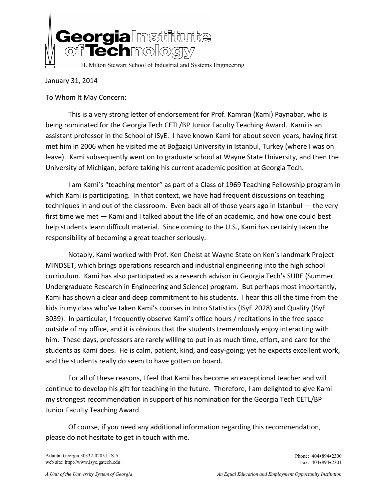

January 31, 2014

To Whom It May Concern:

This is a very strong letter of endorsement for Prof. Kamran (Kami) Paynabar, who is being nominated for the Georgia Tech CETL/BP Junior Faculty Teaching Award. Kami is an assistant professor in the School of ISyE. I have known Kami for about seven years, having first met him in 2006 when he visited me at Boğaziçi University in Istanbul, Turkey (where I was on leave). Kami subsequently went on to graduate school at Wayne State University, and then the University of Michigan, before taking his current academic position at Georgia Tech.

I am Kami's "teaching mentor" as part of a Class of 1969 Teaching Fellowship program in which Kami is participating. In that context, we have had frequent discussions on teaching techniques in and out of the classroom. Even back all of those years ago in Istanbul ― the very first time we met ― Kami and I talked about the life of an academic, and how one could best help students learn difficult material. Since coming to the U.S., Kami has certainly taken the responsibility of becoming a great teacher seriously.

Notably, Kami worked with Prof. Ken Chelst at Wayne State on Ken's landmark Project MINDSET, which brings operations research and industrial engineering into the high school curriculum. Kami has also participated as a research advisor in Georgia Tech's SURE (Summer Undergraduate Research in Engineering and Science) program. But perhaps most importantly, Kami has shown a clear and deep commitment to his students. I hear this all the time from the kids in my class who've taken Kami's courses in Intro Statistics (ISyE 2028) and Quality (ISyE 3039). In particular, I frequently observe Kami's office hours / recitations in the free space outside of my office, and it is obvious that the students tremendously enjoy interacting with him. These days, professors are rarely willing to put in as much time, effort, and care for the students as Kami does. He is calm, patient, kind, and easy-going; yet he expects excellent work, and the students really do seem to have gotten on board.

For all of these reasons, I feel that Kami has become an exceptional teacher and will continue to develop his gift for teaching in the future. Therefore, I am delighted to give Kami my strongest recommendation in support of his nomination for the Georgia Tech CETL/BP Junior Faculty Teaching Award.

Of course, if you need any additional information regarding this recommendation, please do not hesitate to get in touch with me.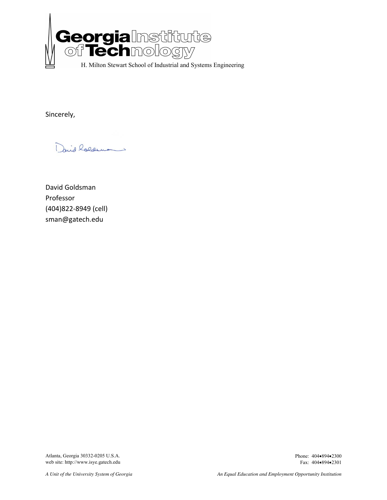

Sincerely,

David holdens

David Goldsman Professor (404)822-8949 (cell) sman@gatech.edu

Atlanta, Georgia 30332-0205 U.S.A. Phone: 404•894•2300 web site: http://www.isye.gatech.edu Fax: 404•894•2301 web site: http://www.isye.gatech.edu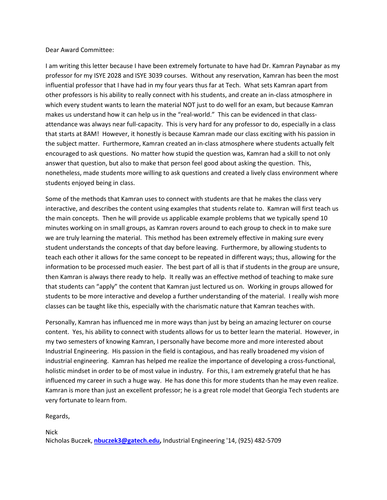#### Dear Award Committee:

I am writing this letter because I have been extremely fortunate to have had Dr. Kamran Paynabar as my professor for my ISYE 2028 and ISYE 3039 courses. Without any reservation, Kamran has been the most influential professor that I have had in my four years thus far at Tech. What sets Kamran apart from other professors is his ability to really connect with his students, and create an in-class atmosphere in which every student wants to learn the material NOT just to do well for an exam, but because Kamran makes us understand how it can help us in the "real-world." This can be evidenced in that classattendance was always near full-capacity. This is very hard for any professor to do, especially in a class that starts at 8AM! However, it honestly is because Kamran made our class exciting with his passion in the subject matter. Furthermore, Kamran created an in-class atmosphere where students actually felt encouraged to ask questions. No matter how stupid the question was, Kamran had a skill to not only answer that question, but also to make that person feel good about asking the question. This, nonetheless, made students more willing to ask questions and created a lively class environment where students enjoyed being in class.

Some of the methods that Kamran uses to connect with students are that he makes the class very interactive, and describes the content using examples that students relate to. Kamran will first teach us the main concepts. Then he will provide us applicable example problems that we typically spend 10 minutes working on in small groups, as Kamran rovers around to each group to check in to make sure we are truly learning the material. This method has been extremely effective in making sure every student understands the concepts of that day before leaving. Furthermore, by allowing students to teach each other it allows for the same concept to be repeated in different ways; thus, allowing for the information to be processed much easier. The best part of all is that if students in the group are unsure, then Kamran is always there ready to help. It really was an effective method of teaching to make sure that students can "apply" the content that Kamran just lectured us on. Working in groups allowed for students to be more interactive and develop a further understanding of the material. I really wish more classes can be taught like this, especially with the charismatic nature that Kamran teaches with.

Personally, Kamran has influenced me in more ways than just by being an amazing lecturer on course content. Yes, his ability to connect with students allows for us to better learn the material. However, in my two semesters of knowing Kamran, I personally have become more and more interested about Industrial Engineering. His passion in the field is contagious, and has really broadened my vision of industrial engineering. Kamran has helped me realize the importance of developing a cross-functional, holistic mindset in order to be of most value in industry. For this, I am extremely grateful that he has influenced my career in such a huge way. He has done this for more students than he may even realize. Kamran is more than just an excellent professor; he is a great role model that Georgia Tech students are very fortunate to learn from.

Regards,

Nick

Nicholas Buczek, **[nbuczek3@gatech.edu,](mailto:nbuczek3@gatech.edu)** Industrial Engineering '14, (925) 482-5709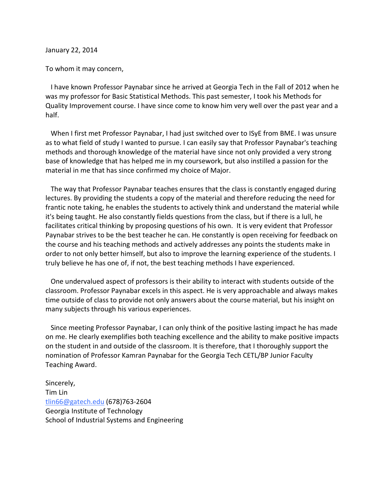January 22, 2014

To whom it may concern,

 I have known Professor Paynabar since he arrived at Georgia Tech in the Fall of 2012 when he was my professor for Basic Statistical Methods. This past semester, I took his Methods for Quality Improvement course. I have since come to know him very well over the past year and a half.

 When I first met Professor Paynabar, I had just switched over to ISyE from BME. I was unsure as to what field of study I wanted to pursue. I can easily say that Professor Paynabar's teaching methods and thorough knowledge of the material have since not only provided a very strong base of knowledge that has helped me in my coursework, but also instilled a passion for the material in me that has since confirmed my choice of Major.

 The way that Professor Paynabar teaches ensures that the class is constantly engaged during lectures. By providing the students a copy of the material and therefore reducing the need for frantic note taking, he enables the students to actively think and understand the material while it's being taught. He also constantly fields questions from the class, but if there is a lull, he facilitates critical thinking by proposing questions of his own. It is very evident that Professor Paynabar strives to be the best teacher he can. He constantly is open receiving for feedback on the course and his teaching methods and actively addresses any points the students make in order to not only better himself, but also to improve the learning experience of the students. I truly believe he has one of, if not, the best teaching methods I have experienced.

 One undervalued aspect of professors is their ability to interact with students outside of the classroom. Professor Paynabar excels in this aspect. He is very approachable and always makes time outside of class to provide not only answers about the course material, but his insight on many subjects through his various experiences.

 Since meeting Professor Paynabar, I can only think of the positive lasting impact he has made on me. He clearly exemplifies both teaching excellence and the ability to make positive impacts on the student in and outside of the classroom. It is therefore, that I thoroughly support the nomination of Professor Kamran Paynabar for the Georgia Tech CETL/BP Junior Faculty Teaching Award.

Sincerely, Tim Lin [tlin66@gatech.edu](mailto:tlin66@gatech.edu) (678)763-2604 Georgia Institute of Technology School of Industrial Systems and Engineering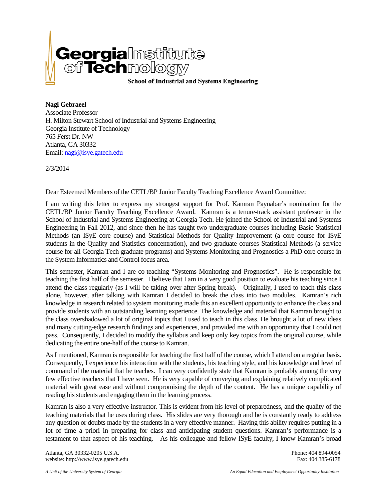

**Nagi Gebraeel** Associate Professor H. Milton Stewart School of Industrial and Systems Engineering Georgia Institute of Technology 765 Ferst Dr. NW Atlanta, GA 30332 Email[: nagi@isye.gatech.edu](mailto:nagi@isye.gatech.edu)

2/3/2014

Dear Esteemed Members of the CETL/BP Junior Faculty Teaching Excellence Award Committee:

I am writing this letter to express my strongest support for Prof. Kamran Paynabar's nomination for the CETL/BP Junior Faculty Teaching Excellence Award. Kamran is a tenure-track assistant professor in the School of Industrial and Systems Engineering at Georgia Tech. He joined the School of Industrial and Systems Engineering in Fall 2012, and since then he has taught two undergraduate courses including Basic Statistical Methods (an ISyE core course) and Statistical Methods for Quality Improvement (a core course for ISyE students in the Quality and Statistics concentration), and two graduate courses Statistical Methods (a service course for all Georgia Tech graduate programs) and Systems Monitoring and Prognostics a PhD core course in the System Informatics and Control focus area.

This semester, Kamran and I are co-teaching "Systems Monitoring and Prognostics". He is responsible for teaching the first half of the semester. I believe that I am in a very good position to evaluate his teaching since I attend the class regularly (as I will be taking over after Spring break). Originally, I used to teach this class alone, however, after talking with Kamran I decided to break the class into two modules. Kamran's rich knowledge in research related to system monitoring made this an excellent opportunity to enhance the class and provide students with an outstanding learning experience. The knowledge and material that Kamran brought to the class overshadowed a lot of original topics that I used to teach in this class. He brought a lot of new ideas and many cutting-edge research findings and experiences, and provided me with an opportunity that I could not pass. Consequently, I decided to modify the syllabus and keep only key topics from the original course, while dedicating the entire one-half of the course to Kamran.

As I mentioned, Kamran is responsible for teaching the first half of the course, which I attend on a regular basis. Consequently, I experience his interaction with the students, his teaching style, and his knowledge and level of command of the material that he teaches. I can very confidently state that Kamran is probably among the very few effective teachers that I have seen. He is very capable of conveying and explaining relatively complicated material with great ease and without compromising the depth of the content. He has a unique capability of reading his students and engaging them in the learning process.

Kamran is also a very effective instructor. This is evident from his level of preparedness, and the quality of the teaching materials that he uses during class. His slides are very thorough and he is constantly ready to address any question or doubts made by the students in a very effective manner. Having this ability requires putting in a lot of time a priori in preparing for class and anticipating student questions. Kamran's performance is a testament to that aspect of his teaching. As his colleague and fellow ISyE faculty, I know Kamran's broad